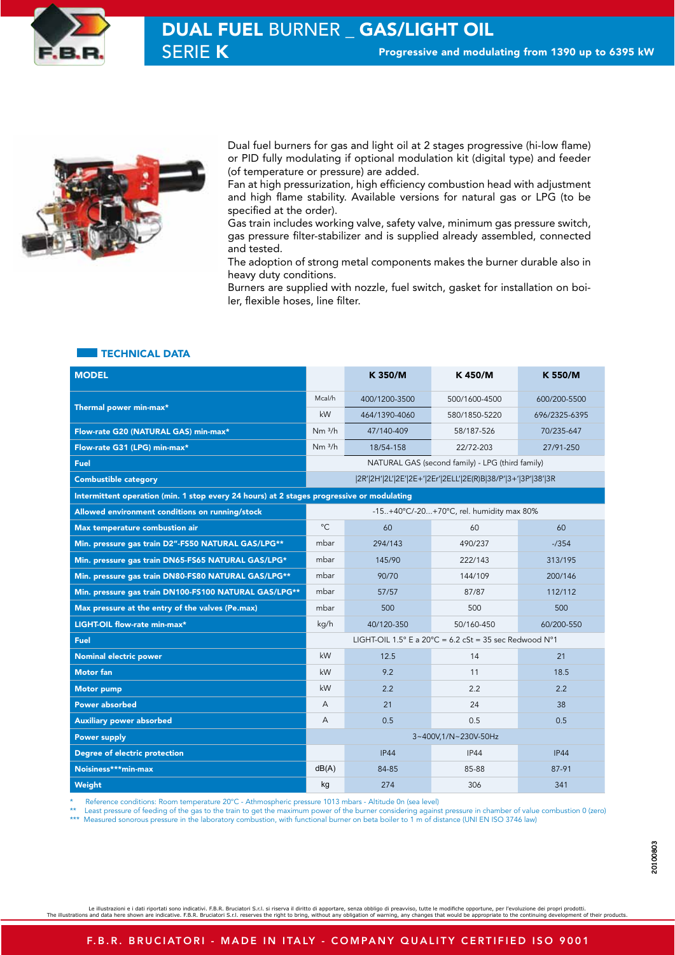



SERIE K Progressive and modulating from 1390 up to 6395 kW DUAL FUEL BURNER \_ GAS/LIGHT OIL

> Dual fuel burners for gas and light oil at 2 stages progressive (hi-low flame) or PID fully modulating if optional modulation kit (digital type) and feeder (of temperature or pressure) are added.

> Fan at high pressurization, high efficiency combustion head with adjustment and high flame stability. Available versions for natural gas or LPG (to be specified at the order).

> Gas train includes working valve, safety valve, minimum gas pressure switch, gas pressure filter-stabilizer and is supplied already assembled, connected and tested.

> The adoption of strong metal components makes the burner durable also in heavy duty conditions.

> Burners are supplied with nozzle, fuel switch, gasket for installation on boiler, flexible hoses, line filter.

## TECHNICAL DATA

| <b>MODEL</b>                                                                              |                                                                 | K 350/M       | K 450/M       | K 550/M       |  |  |  |  |  |  |  |  |
|-------------------------------------------------------------------------------------------|-----------------------------------------------------------------|---------------|---------------|---------------|--|--|--|--|--|--|--|--|
|                                                                                           |                                                                 | 400/1200-3500 | 500/1600-4500 | 600/200-5500  |  |  |  |  |  |  |  |  |
| Thermal power min-max*                                                                    | kW                                                              | 464/1390-4060 | 580/1850-5220 | 696/2325-6395 |  |  |  |  |  |  |  |  |
| Flow-rate G20 (NATURAL GAS) min-max*                                                      | Nm <sup>3/h</sup>                                               | 47/140-409    | 58/187-526    | 70/235-647    |  |  |  |  |  |  |  |  |
| Flow-rate G31 (LPG) min-max*                                                              | Nm <sup>3/h</sup>                                               | 18/54-158     | 22/72-203     | 27/91-250     |  |  |  |  |  |  |  |  |
| Fuel                                                                                      | NATURAL GAS (second family) - LPG (third family)                |               |               |               |  |  |  |  |  |  |  |  |
| <b>Combustible category</b>                                                               | 2R' 2H' 2L' 2E' 2E+' 2Er' 2ELL' 2E(R)B 38/P' 3+' 3P' 38' 3R     |               |               |               |  |  |  |  |  |  |  |  |
| Intermittent operation (min. 1 stop every 24 hours) at 2 stages progressive or modulating |                                                                 |               |               |               |  |  |  |  |  |  |  |  |
| Allowed environment conditions on running/stock                                           | -15+40°C/-20+70°C, rel. humidity max 80%                        |               |               |               |  |  |  |  |  |  |  |  |
| Max temperature combustion air                                                            | $^{\circ}C$                                                     | 60            | 60            | 60            |  |  |  |  |  |  |  |  |
| Min. pressure gas train D2"-FS50 NATURAL GAS/LPG**                                        | mbar                                                            | 294/143       | 490/237       | $-7354$       |  |  |  |  |  |  |  |  |
| Min. pressure gas train DN65-FS65 NATURAL GAS/LPG*                                        | mbar                                                            | 145/90        | 313/195       |               |  |  |  |  |  |  |  |  |
| Min. pressure gas train DN80-FS80 NATURAL GAS/LPG**                                       | mbar                                                            | 90/70         | 144/109       | 200/146       |  |  |  |  |  |  |  |  |
| Min. pressure gas train DN100-FS100 NATURAL GAS/LPG**                                     | mbar                                                            | 57/57         | 87/87         | 112/112       |  |  |  |  |  |  |  |  |
| Max pressure at the entry of the valves (Pe.max)                                          | mbar                                                            | 500           | 500           | 500           |  |  |  |  |  |  |  |  |
| LIGHT-OIL flow-rate min-max*                                                              | kg/h                                                            | 40/120-350    | 50/160-450    | 60/200-550    |  |  |  |  |  |  |  |  |
| <b>Fuel</b>                                                                               | LIGHT-OIL 1.5° E a 20°C = 6.2 cSt = 35 sec Redwood $N^{\circ}1$ |               |               |               |  |  |  |  |  |  |  |  |
| <b>Nominal electric power</b>                                                             | kW                                                              | 12.5          | 14            | 21            |  |  |  |  |  |  |  |  |
| <b>Motor</b> fan                                                                          | kW                                                              | 9.2           | 11            | 18.5          |  |  |  |  |  |  |  |  |
| <b>Motor pump</b>                                                                         | kW                                                              | 2.2           | 2.2           | 2.2           |  |  |  |  |  |  |  |  |
| <b>Power absorbed</b>                                                                     | A                                                               | 21            | 24            | 38            |  |  |  |  |  |  |  |  |
| <b>Auxiliary power absorbed</b>                                                           | A                                                               | 0.5           | 0.5           | 0.5           |  |  |  |  |  |  |  |  |
| <b>Power supply</b>                                                                       | 3~400V,1/N~230V-50Hz                                            |               |               |               |  |  |  |  |  |  |  |  |
| Degree of electric protection                                                             |                                                                 | IP44          | IP44          | <b>IP44</b>   |  |  |  |  |  |  |  |  |
| Noisiness***min-max                                                                       | dB(A)                                                           | 84-85         | 85-88         | 87-91         |  |  |  |  |  |  |  |  |
| Weight                                                                                    | kg                                                              | 274           | 306           | 341           |  |  |  |  |  |  |  |  |

Reference conditions: Room temperature 20°C - Athmospheric pressure 1013 mbars - Altitude 0n (sea level)

Least pressure of feeding of the gas to the train to get the maximum power of the burner considering against pressure in chamber of value combustion 0 (zero) \*\*\* Measured sonorous pressure in the laboratory combustion, with functional burner on beta boiler to 1 m of distance (UNI EN ISO 3746 law)